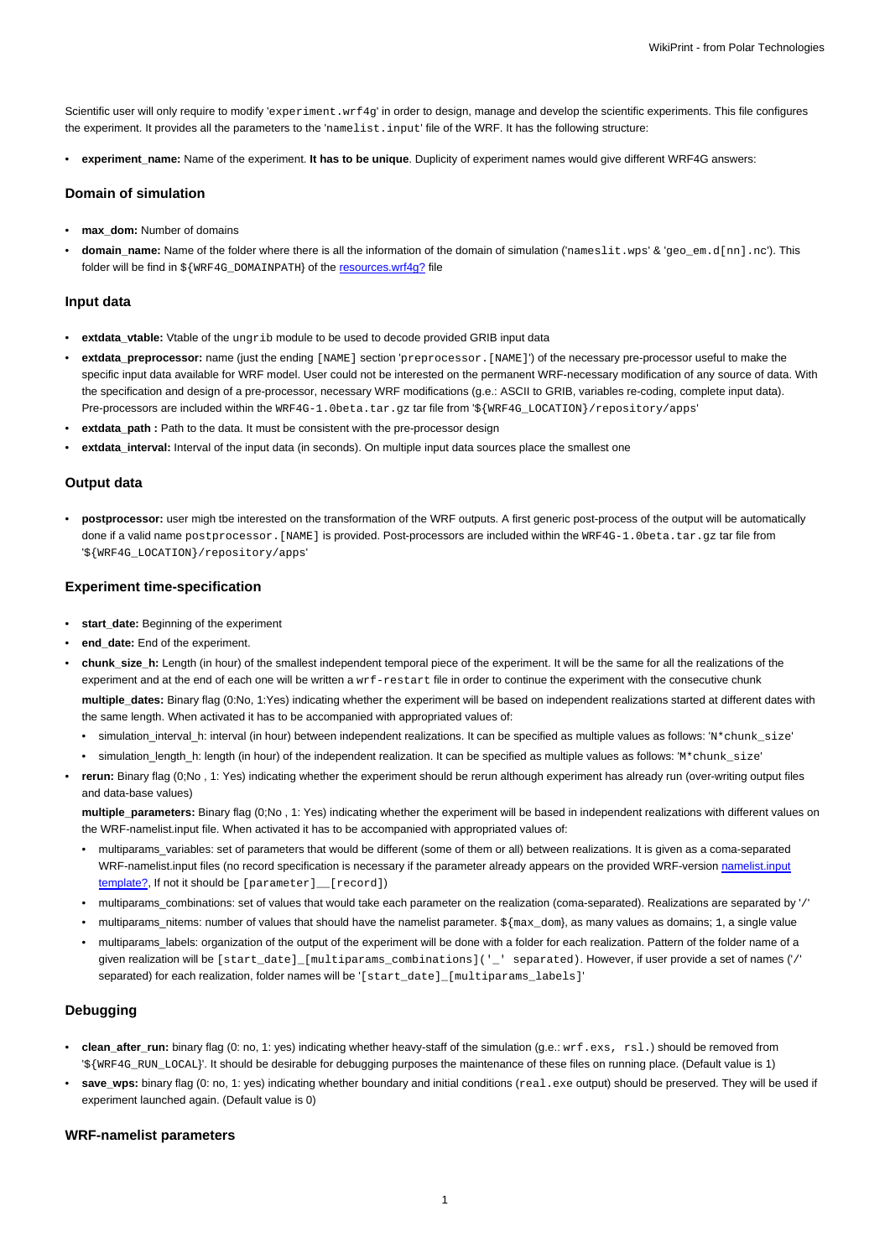Scientific user will only require to modify 'experiment.wrf4g' in order to design, manage and develop the scientific experiments. This file configures the experiment. It provides all the parameters to the 'namelist.input' file of the WRF. It has the following structure:

• **experiment\_name:** Name of the experiment. **It has to be unique**. Duplicity of experiment names would give different WRF4G answers:

### **Domain of simulation**

- **max\_dom:** Number of domains
- **domain\_name:** Name of the folder where there is all the information of the domain of simulation ('nameslit.wps' & 'geo\_em.d[nn].nc'). This folder will be find in \${WRF4G\_DOMAINPATH} of the resources.wrf4g? file

### **Input data**

- **extdata\_vtable:** Vtable of the ungrib module to be used to decode provided GRIB input data
- **extdata\_preprocessor:** name (just the ending [NAME] section 'preprocessor.[NAME]') of the necessary pre-processor useful to make the specific input data available for WRF model. User could not be interested on the permanent WRF-necessary modification of any source of data. With the specification and design of a pre-processor, necessary WRF modifications (g.e.: ASCII to GRIB, variables re-coding, complete input data). Pre-processors are included within the WRF4G-1.0beta.tar.gz tar file from '\${WRF4G\_LOCATION}/repository/apps'
- extdata\_path : Path to the data. It must be consistent with the pre-processor design
- **extdata\_interval:** Interval of the input data (in seconds). On multiple input data sources place the smallest one

## **Output data**

• **postprocessor:** user migh tbe interested on the transformation of the WRF outputs. A first generic post-process of the output will be automatically done if a valid name postprocessor. [NAME] is provided. Post-processors are included within the WRF4G-1.0beta.tar.gz tar file from '\${WRF4G\_LOCATION}/repository/apps'

### **Experiment time-specification**

- start\_date: Beginning of the experiment
- **end\_date:** End of the experiment.
- **chunk** size h: Length (in hour) of the smallest independent temporal piece of the experiment. It will be the same for all the realizations of the experiment and at the end of each one will be written a  $wrf-restart$  file in order to continue the experiment with the consecutive chunk **multiple\_dates:** Binary flag (0:No, 1:Yes) indicating whether the experiment will be based on independent realizations started at different dates with the same length. When activated it has to be accompanied with appropriated values of:
	- simulation\_interval\_h: interval (in hour) between independent realizations. It can be specified as multiple values as follows: 'N\*chunk\_size'
	- simulation\_length\_h: length (in hour) of the independent realization. It can be specified as multiple values as follows: 'M\*chunk\_size'
- **rerun:** Binary flag (0;No , 1: Yes) indicating whether the experiment should be rerun although experiment has already run (over-writing output files and data-base values)

**multiple\_parameters:** Binary flag (0;No , 1: Yes) indicating whether the experiment will be based in independent realizations with different values on the WRF-namelist.input file. When activated it has to be accompanied with appropriated values of:

- multiparams\_variables: set of parameters that would be different (some of them or all) between realizations. It is given as a coma-separated WRF-namelist.input files (no record specification is necessary if the parameter already appears on the provided WRF-version namelist.input template?, If not it should be [parameter]\_\_[record])
- multiparams\_combinations: set of values that would take each parameter on the realization (coma-separated). Realizations are separated by '/'
- multiparams\_nitems: number of values that should have the namelist parameter. \${max\_dom}, as many values as domains; 1, a single value
- multiparams\_labels: organization of the output of the experiment will be done with a folder for each realization. Pattern of the folder name of a given realization will be [start\_date]\_[multiparams\_combinations]('\_' separated). However, if user provide a set of names ('/' separated) for each realization, folder names will be '[start\_date]\_[multiparams\_labels]'

# **Debugging**

- **clean\_after\_run:** binary flag (0: no, 1: yes) indicating whether heavy-staff of the simulation (g.e.: wrf.exs, rsl.) should be removed from '\${WRF4G\_RUN\_LOCAL}'. It should be desirable for debugging purposes the maintenance of these files on running place. (Default value is 1)
- save\_wps: binary flag (0: no, 1: yes) indicating whether boundary and initial conditions (real.exe output) should be preserved. They will be used if experiment launched again. (Default value is 0)

### **WRF-namelist parameters**